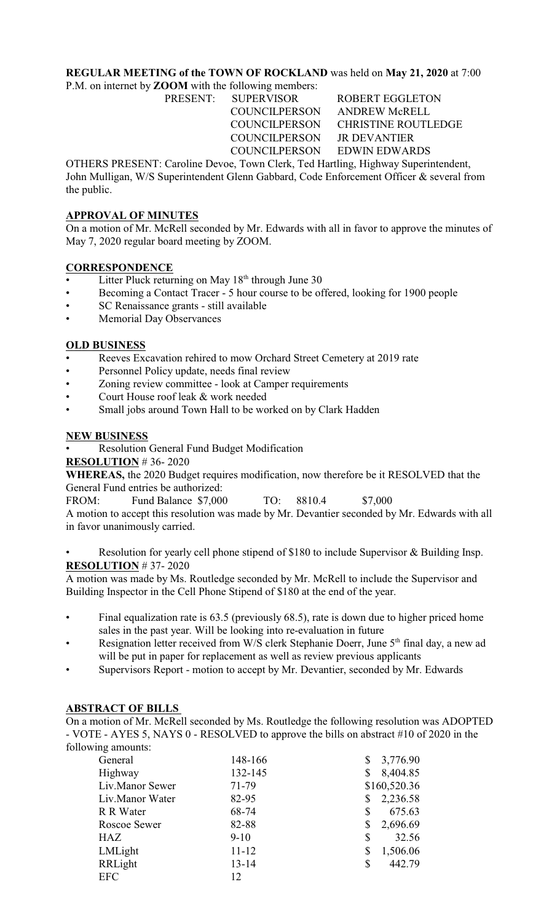## **REGULAR MEETING of the TOWN OF ROCKLAND** was held on **May 21, 2020** at 7:00

P.M. on internet by **ZOOM** with the following members:

COUNCILPERSON JR DEVANTIER

PRESENT: SUPERVISOR ROBERT EGGLETON COUNCILPERSON ANDREW McRELL COUNCILPERSON CHRISTINE ROUTLEDGE COUNCILPERSON EDWIN EDWARDS

OTHERS PRESENT: Caroline Devoe, Town Clerk, Ted Hartling, Highway Superintendent, John Mulligan, W/S Superintendent Glenn Gabbard, Code Enforcement Officer & several from the public.

# **APPROVAL OF MINUTES**

On a motion of Mr. McRell seconded by Mr. Edwards with all in favor to approve the minutes of May 7, 2020 regular board meeting by ZOOM.

## **CORRESPONDENCE**

- Litter Pluck returning on May  $18<sup>th</sup>$  through June 30
- Becoming a Contact Tracer 5 hour course to be offered, looking for 1900 people
- SC Renaissance grants still available
- Memorial Day Observances

## **OLD BUSINESS**

- Reeves Excavation rehired to mow Orchard Street Cemetery at 2019 rate
- Personnel Policy update, needs final review
- Zoning review committee look at Camper requirements
- Court House roof leak & work needed
- Small jobs around Town Hall to be worked on by Clark Hadden

## **NEW BUSINESS**

• Resolution General Fund Budget Modification

#### **RESOLUTION** # 36- 2020

**WHEREAS,** the 2020 Budget requires modification, now therefore be it RESOLVED that the General Fund entries be authorized:

FROM: Fund Balance \$7,000 TO: 8810.4 \$7,000

A motion to accept this resolution was made by Mr. Devantier seconded by Mr. Edwards with all in favor unanimously carried.

Resolution for yearly cell phone stipend of \$180 to include Supervisor & Building Insp. **RESOLUTION** # 37- 2020

A motion was made by Ms. Routledge seconded by Mr. McRell to include the Supervisor and Building Inspector in the Cell Phone Stipend of \$180 at the end of the year.

- Final equalization rate is 63.5 (previously 68.5), rate is down due to higher priced home sales in the past year. Will be looking into re-evaluation in future
- Resignation letter received from W/S clerk Stephanie Doerr, June 5<sup>th</sup> final day, a new ad will be put in paper for replacement as well as review previous applicants
- Supervisors Report motion to accept by Mr. Devantier, seconded by Mr. Edwards

#### **ABSTRACT OF BILLS**

On a motion of Mr. McRell seconded by Ms. Routledge the following resolution was ADOPTED - VOTE - AYES 5, NAYS 0 - RESOLVED to approve the bills on abstract #10 of 2020 in the following amounts:

| General         | 148-166   | 3,776.90<br>\$ |
|-----------------|-----------|----------------|
| Highway         | 132-145   | 8,404.85<br>\$ |
| Liv.Manor Sewer | 71-79     | \$160,520.36   |
| Liv.Manor Water | 82-95     | 2,236.58<br>\$ |
| R R Water       | 68-74     | 675.63<br>\$   |
| Roscoe Sewer    | 82-88     | \$<br>2,696.69 |
| HAZ             | $9-10$    | 32.56<br>\$    |
| LMLight         | $11 - 12$ | 1,506.06<br>\$ |
| RRLight         | $13 - 14$ | 442.79<br>\$   |
| <b>EFC</b>      | 12        |                |
|                 |           |                |